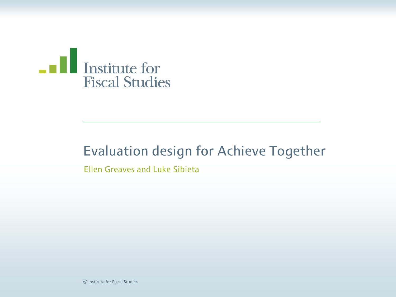

#### Evaluation design for Achieve Together

Ellen Greaves and Luke Sibieta

© Institute for Fiscal Studies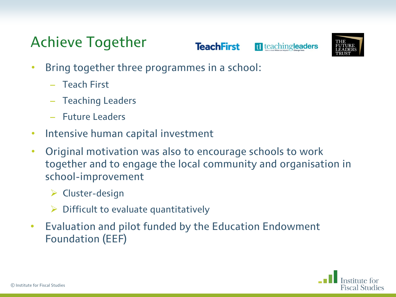**TeachFirst** 

1 teachingleaders



- Bring together three programmes in a school:
	- Teach First
	- Teaching Leaders
	- Future Leaders
- Intensive human capital investment
- Original motivation was also to encourage schools to work together and to engage the local community and organisation in school-improvement
	- $\triangleright$  Cluster-design
	- $\triangleright$  Difficult to evaluate quantitatively
- Evaluation and pilot funded by the Education Endowment Foundation (EEF)

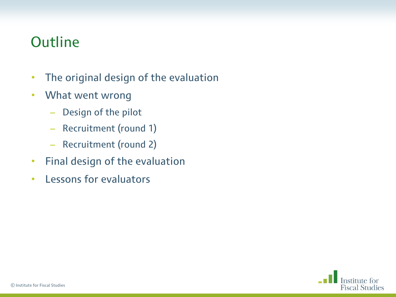### **Outline**

- The original design of the evaluation
- What went wrong
	- Design of the pilot
	- Recruitment (round 1)
	- Recruitment (round 2)
- Final design of the evaluation
- Lessons for evaluators

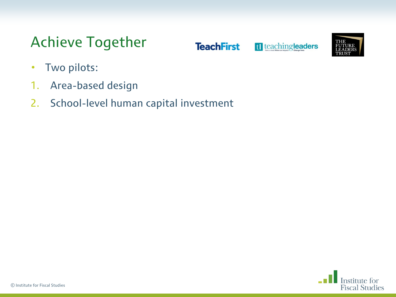**TeachFirst** 

tl teachingleaders



- Two pilots:
- 1. Area-based design
- 2. School-level human capital investment

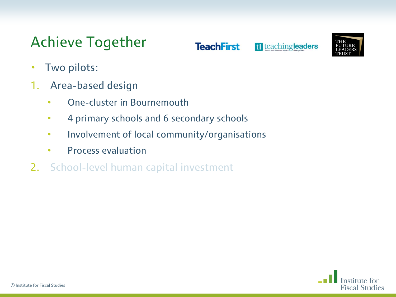**TeachFirst** 

tl teachingleaders



- Two pilots:
- 1. Area-based design
	- One-cluster in Bournemouth
	- 4 primary schools and 6 secondary schools
	- Involvement of local community/organisations
	- Process evaluation
- 2. School-level human capital investment

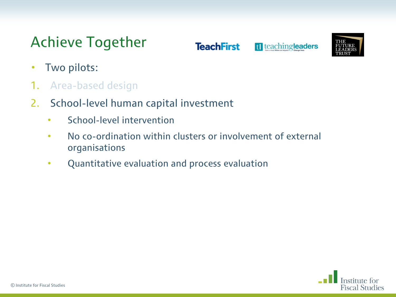**TeachFirst** 

tl teachingleaders



- Two pilots:
- 1. Area-based design
- 2. School-level human capital investment
	- School-level intervention
	- No co-ordination within clusters or involvement of external organisations
	- Quantitative evaluation and process evaluation

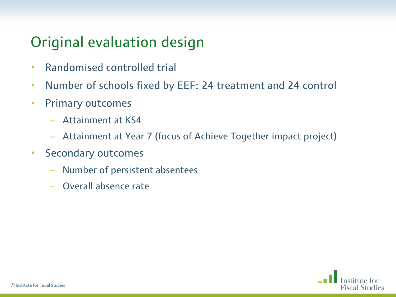### Original evaluation design

- Randomised controlled trial
- Number of schools fixed by EEF: 24 treatment and 24 control
- Primary outcomes
	- Attainment at KS4
	- Attainment at Year 7 (focus of Achieve Together impact project)
- Secondary outcomes
	- Number of persistent absentees
	- Overall absence rate

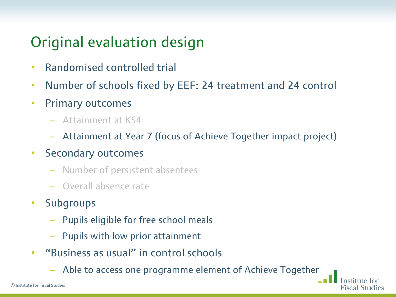### Original evaluation design

- Randomised controlled trial
- Number of schools fixed by EEF: 24 treatment and 24 control
- Primary outcomes
	- Attainment at KS4
	- Attainment at Year 7 (focus of Achieve Together impact project)
- Secondary outcomes
	- Number of persistent absentees
	- Overall absence rate
- Subgroups
	- Pupils eligible for free school meals
	- Pupils with low prior attainment
- "Business as usual" in control schools
	- Able to access one programme element of Achieve Together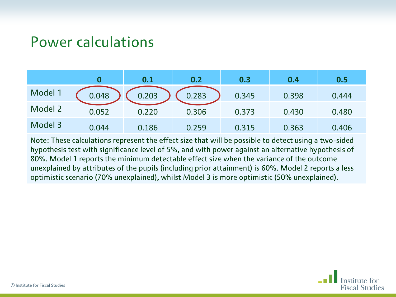#### Power calculations

|         |       | 0.1   | 0.2   | 0.3   | 0.4   | 0.5   |
|---------|-------|-------|-------|-------|-------|-------|
| Model 1 | 0.048 | 0.203 | 0.283 | 0.345 | 0.398 | 0.444 |
| Model 2 | 0.052 | 0.220 | 0.306 | 0.373 | 0.430 | 0.480 |
| Model 3 | 0.044 | 0.186 | 0.259 | 0.315 | 0.363 | 0.406 |

Note: These calculations represent the effect size that will be possible to detect using a two-sided hypothesis test with significance level of 5%, and with power against an alternative hypothesis of 80%. Model 1 reports the minimum detectable effect size when the variance of the outcome unexplained by attributes of the pupils (including prior attainment) is 60%. Model 2 reports a less optimistic scenario (70% unexplained), whilst Model 3 is more optimistic (50% unexplained).

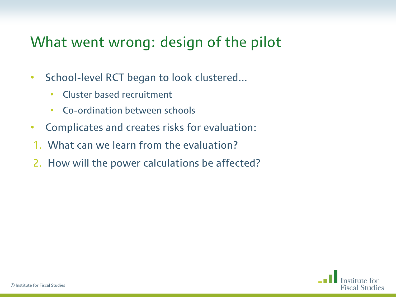### What went wrong: design of the pilot

- School-level RCT began to look clustered...
	- Cluster based recruitment
	- Co-ordination between schools
- Complicates and creates risks for evaluation:
- 1. What can we learn from the evaluation?
- 2. How will the power calculations be affected?

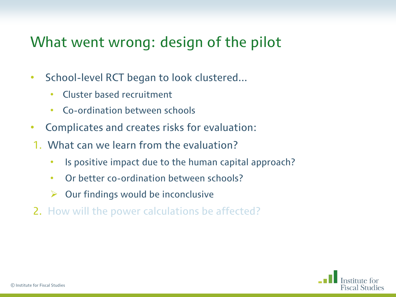### What went wrong: design of the pilot

- School-level RCT began to look clustered...
	- Cluster based recruitment
	- Co-ordination between schools
- Complicates and creates risks for evaluation:
- 1. What can we learn from the evaluation?
	- Is positive impact due to the human capital approach?
	- Or better co-ordination between schools?
	- $\triangleright$  Our findings would be inconclusive
- 2. How will the power calculations be affected?

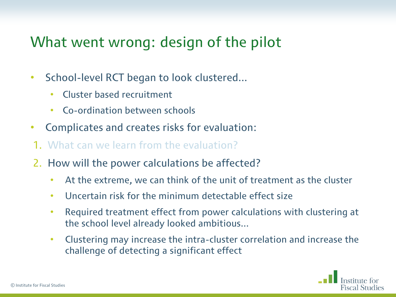### What went wrong: design of the pilot

- School-level RCT began to look clustered...
	- Cluster based recruitment
	- Co-ordination between schools
- Complicates and creates risks for evaluation:
- 1. What can we learn from the evaluation?
- 2. How will the power calculations be affected?
	- At the extreme, we can think of the unit of treatment as the cluster
	- Uncertain risk for the minimum detectable effect size
	- Required treatment effect from power calculations with clustering at the school level already looked ambitious...
	- Clustering may increase the intra-cluster correlation and increase the challenge of detecting a significant effect

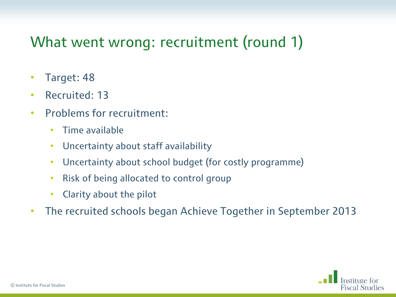### What went wrong: recruitment (round 1)

- Target: 48
- Recruited: 13
- Problems for recruitment:
	- Time available
	- Uncertainty about staff availability
	- Uncertainty about school budget (for costly programme)
	- Risk of being allocated to control group
	- Clarity about the pilot
- The recruited schools began Achieve Together in September 2013

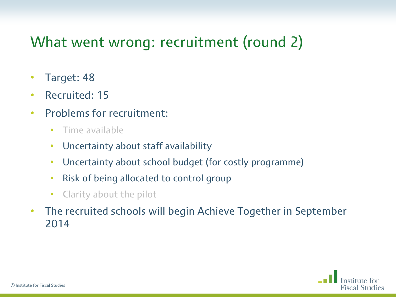### What went wrong: recruitment (round 2)

- Target: 48
- Recruited: 15
- Problems for recruitment:
	- Time available
	- Uncertainty about staff availability
	- Uncertainty about school budget (for costly programme)
	- Risk of being allocated to control group
	- Clarity about the pilot
- The recruited schools will begin Achieve Together in September 2014

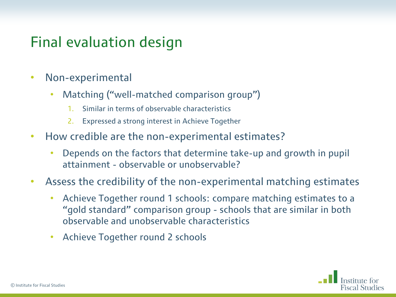### Final evaluation design

- Non-experimental
	- Matching ("well-matched comparison group")
		- 1. Similar in terms of observable characteristics
		- 2. Expressed a strong interest in Achieve Together
- How credible are the non-experimental estimates?
	- Depends on the factors that determine take-up and growth in pupil attainment - observable or unobservable?
- Assess the credibility of the non-experimental matching estimates
	- Achieve Together round 1 schools: compare matching estimates to a "gold standard" comparison group - schools that are similar in both observable and unobservable characteristics
	- Achieve Together round 2 schools

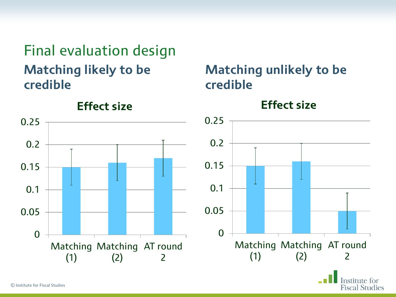Final evaluation design **Matching likely to be credible**



#### **Matching unlikely to be credible**

**Effect size**

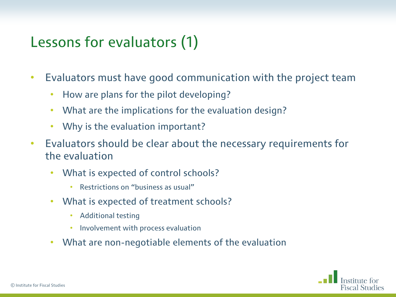### Lessons for evaluators (1)

- Evaluators must have good communication with the project team
	- How are plans for the pilot developing?
	- What are the implications for the evaluation design?
	- Why is the evaluation important?
- Evaluators should be clear about the necessary requirements for the evaluation
	- What is expected of control schools?
		- Restrictions on "business as usual"
	- What is expected of treatment schools?
		- Additional testing
		- Involvement with process evaluation
	- What are non-negotiable elements of the evaluation